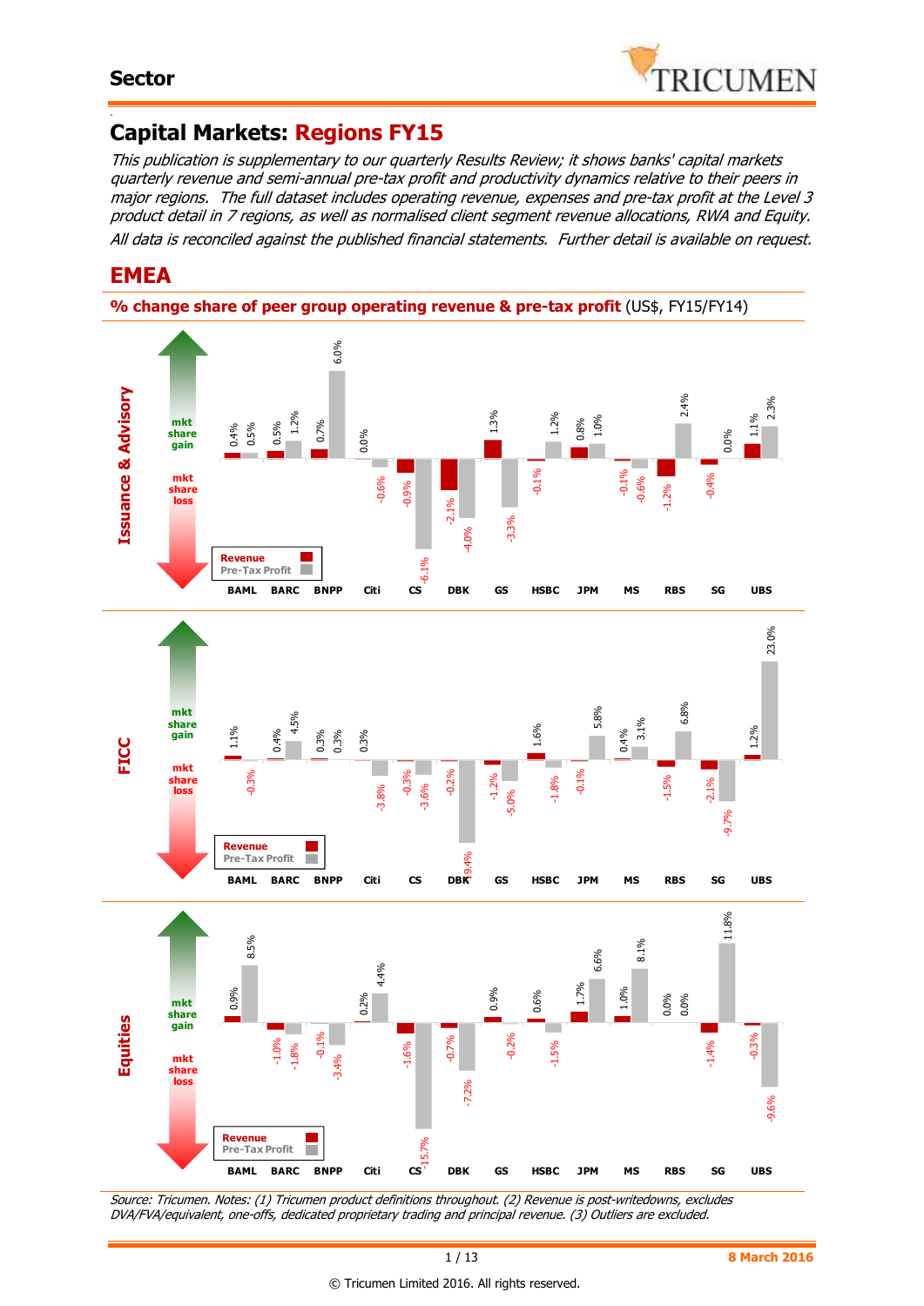

#### - **Capital Markets: Regions FY15**

This publication is supplementary to our quarterly Results Review; it shows banks' capital markets quarterly revenue and semi-annual pre-tax profit and productivity dynamics relative to their peers in major regions. The full dataset includes operating revenue, expenses and pre-tax profit at the Level 3 product detail in 7 regions, as well as normalised client segment revenue allocations, RWA and Equity. All data is reconciled against the published financial statements. Further detail is available on request.

### **EMEA**





Source: Tricumen. Notes: (1) Tricumen product definitions throughout. (2) Revenue is post-writedowns, excludes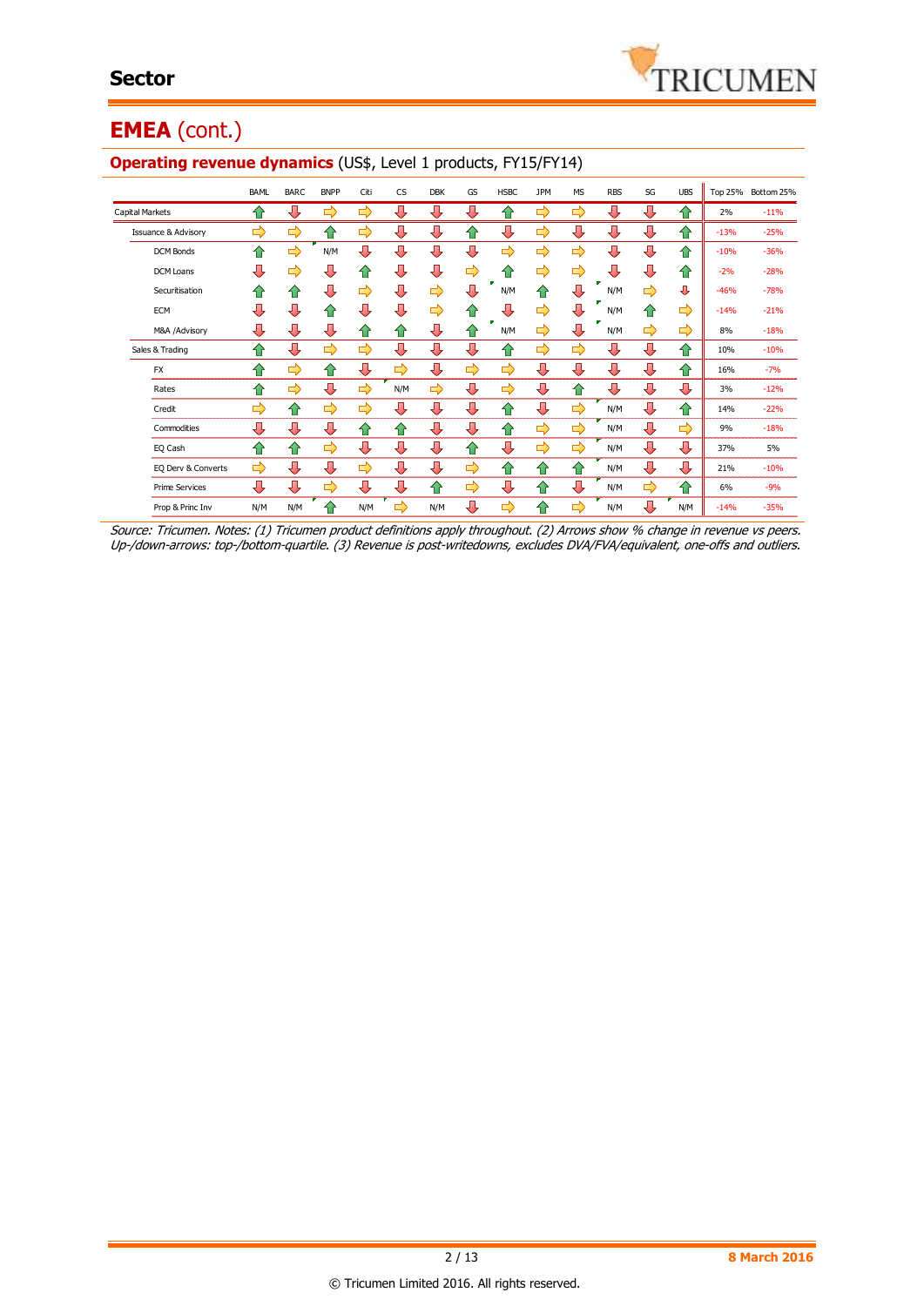

## **EMEA** (cont.)

|                                | <b>BAML</b> | <b>BARC</b> | <b>BNPP</b> | Citi | <b>CS</b>     | <b>DBK</b> | GS | <b>HSBC</b>   | <b>JPM</b>    | <b>MS</b> | <b>RBS</b> | SG | <b>UBS</b> | Top 25% | Bottom 25% |
|--------------------------------|-------------|-------------|-------------|------|---------------|------------|----|---------------|---------------|-----------|------------|----|------------|---------|------------|
| <b>Capital Markets</b>         | ⇑           | ⊕           | ⇨           | ⇨    | ⊕             | ⊕          | ⇩  | 仆             | ⇨             | ⇨         | ⇩          | ⊕  | ⇧          | 2%      | $-11%$     |
| <b>Issuance &amp; Advisory</b> | ⇨           | ⇨           | ⇑           | ⇨    | ⇩             | ⇩          | ⇑  | ⇩             | ⇨             | ⊕         | ⇩          | ⊕  | ⇧          | $-13%$  | $-25%$     |
| <b>DCM Bonds</b>               | ⇑           | ⇨           | N/M         | ⇩    | ⇩             | ⇩          | л  | $\Rightarrow$ | $\Rightarrow$ | ⇨         | ⇩          | ⊕  | ⇧          | $-10%$  | $-36%$     |
| <b>DCM Loans</b>               | ⇩           | ⇨           | ⇩           | ⇑    | ⇩             | ⊕          | ⇨  | 11            | ⇨             | ⇨         | ⇩          | ⊕  | ⇧          | $-2%$   | $-28%$     |
| Securitisation                 | ⇑           | ⇑           | ⇩           | ⇨    | ⇩             | ⇨          | Л  | N/M           | ⇑             | ⊕         | N/M        | ⇨  | ⊕          | $-46%$  | $-78%$     |
| ECM                            | ⇩           | ⊕           | ⇧           | ⊕    | ⇩             | ⇨          |    |               | ⇨             | ⊕         | N/M        | ⇧  | ⇨          | $-14%$  | $-21%$     |
| M&A /Advisory                  | ⊕           | ⊕           | ⊕           | ⇑    | 企             | ⇩          | ⇑  | N/M           | ⇨             | ⇩         | N/M        | ⇨  | ⇨          | 8%      | $-18%$     |
| Sales & Trading                | ⇧           | ⊕           | ⇨           | ⇨    | ⇩             | ⊕          | ⊕  | 仆             | ⇨             | ⇨         | ⊕          | ⊕  | ⇧          | 10%     | $-10%$     |
| <b>FX</b>                      | ⇧           | ⇨           | ⇧           | ⊕    | ⇨             | ⇩          | ⇨  | $\Rightarrow$ | ⇩             | ⊕         | ⊕          | ⊕  | ⇧          | 16%     | $-7%$      |
| Rates                          | ⇑           | ⇨           | ⇩           | ⇨    | N/M           | ⇨          | ⇩  | ⇨             | ⇩             | ⇑         | ⇩          | ⊕  | ⊕          | 3%      | $-12%$     |
| Credit                         | ⇨           | ⇑           | ⇨           | ⇨    | ⊕             | ⊕          | ⊕  | ⇧             | ⊕             | ⇨         | N/M        | ⇩  | ⇧          | 14%     | $-22%$     |
| Commodities                    | ⊕           | ⊕           | ⊕           | ⇑    | ⇑             | ⇩          | ⇩  | 11            | ⇨             | ⇨         | N/M        | ⊕  | ⇨          | 9%      | $-18%$     |
| EQ Cash                        | ⇑           | ⇑           | ⇨           | ⊕    | ⊕             | ⇩          | ⇑  | ⇩             | $\Rightarrow$ | ⇨         | N/M        | ⊕  | ⊕          | 37%     | 5%         |
| EQ Derv & Converts             | ⇨           | ⊕           | ⇩           | ⇨    | ⊕             | ⊕          | ⇨  | 企             | 仐             | ⇑         | N/M        | ⊕  | ⊕          | 21%     | $-10%$     |
| <b>Prime Services</b>          | ⊕           | ⊕           | ⇨           | ⊕    | ⊕             | ⇑          | ⇨  | ⇩             | ⇑             | ⊕         | N/M        | ⇨  | 企          | 6%      | $-9%$      |
| Prop & Princ Inv               | N/M         | N/M         | $\bigwedge$ | N/M  | $\Rightarrow$ | N/M        | ⇩  | ⇨             | ⇑             | ⇨         | N/M        | ⊕  | N/M        | $-14%$  | $-35%$     |

#### **Operating revenue dynamics** (US\$, Level 1 products, FY15/FY14)

Source: Tricumen. Notes: (1) Tricumen product definitions apply throughout. (2) Arrows show % change in revenue vs peers. Up-/down-arrows: top-/bottom-quartile. (3) Revenue is post-writedowns, excludes DVA/FVA/equivalent, one-offs and outliers.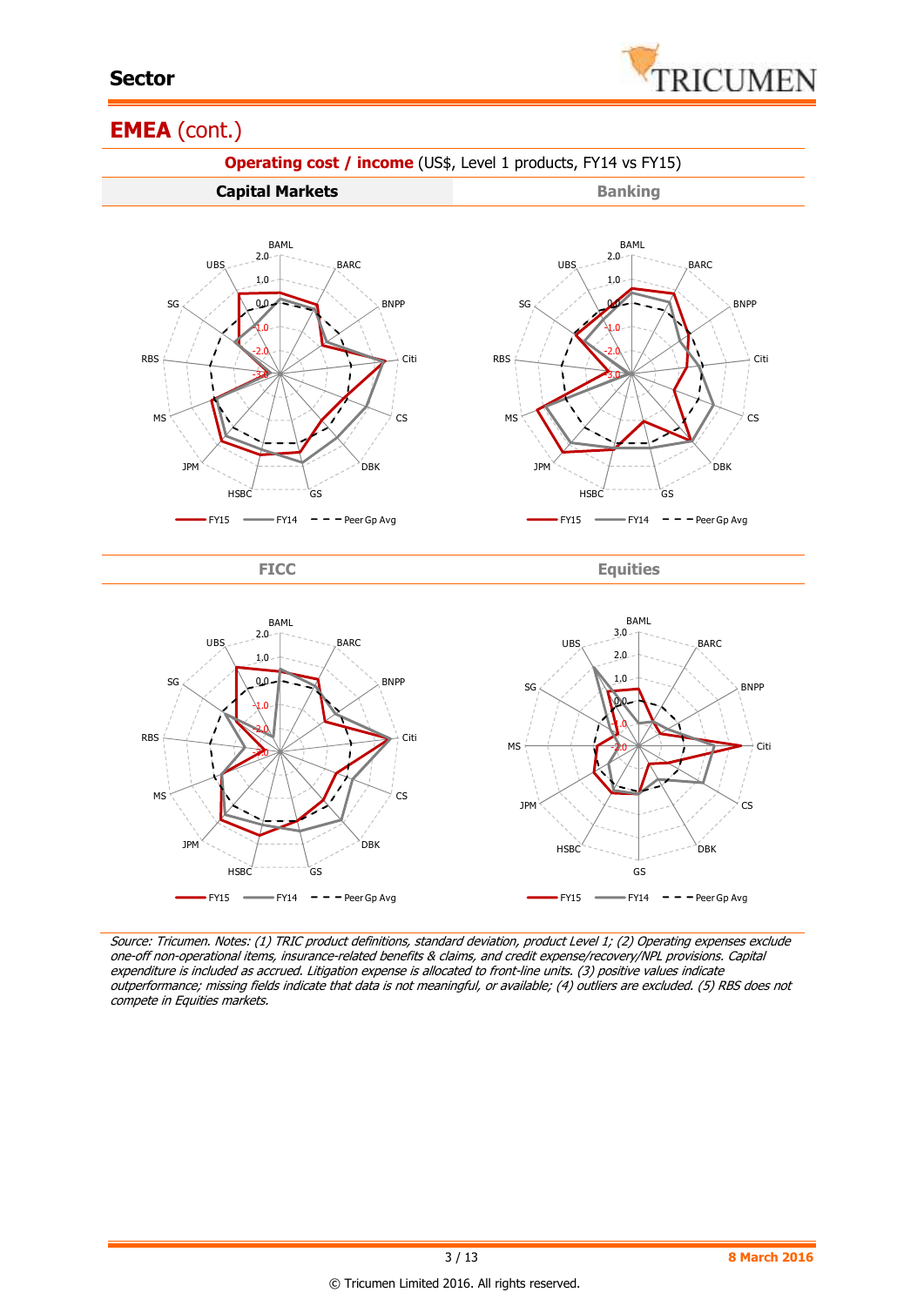

#### **EMEA** (cont.)



Source: Tricumen. Notes: (1) TRIC product definitions, standard deviation, product Level 1; (2) Operating expenses exclude one-off non-operational items, insurance-related benefits & claims, and credit expense/recovery/NPL provisions. Capital expenditure is included as accrued. Litigation expense is allocated to front-line units. (3) positive values indicate outperformance; missing fields indicate that data is not meaningful, or available; (4) outliers are excluded. (5) RBS does not compete in Equities markets.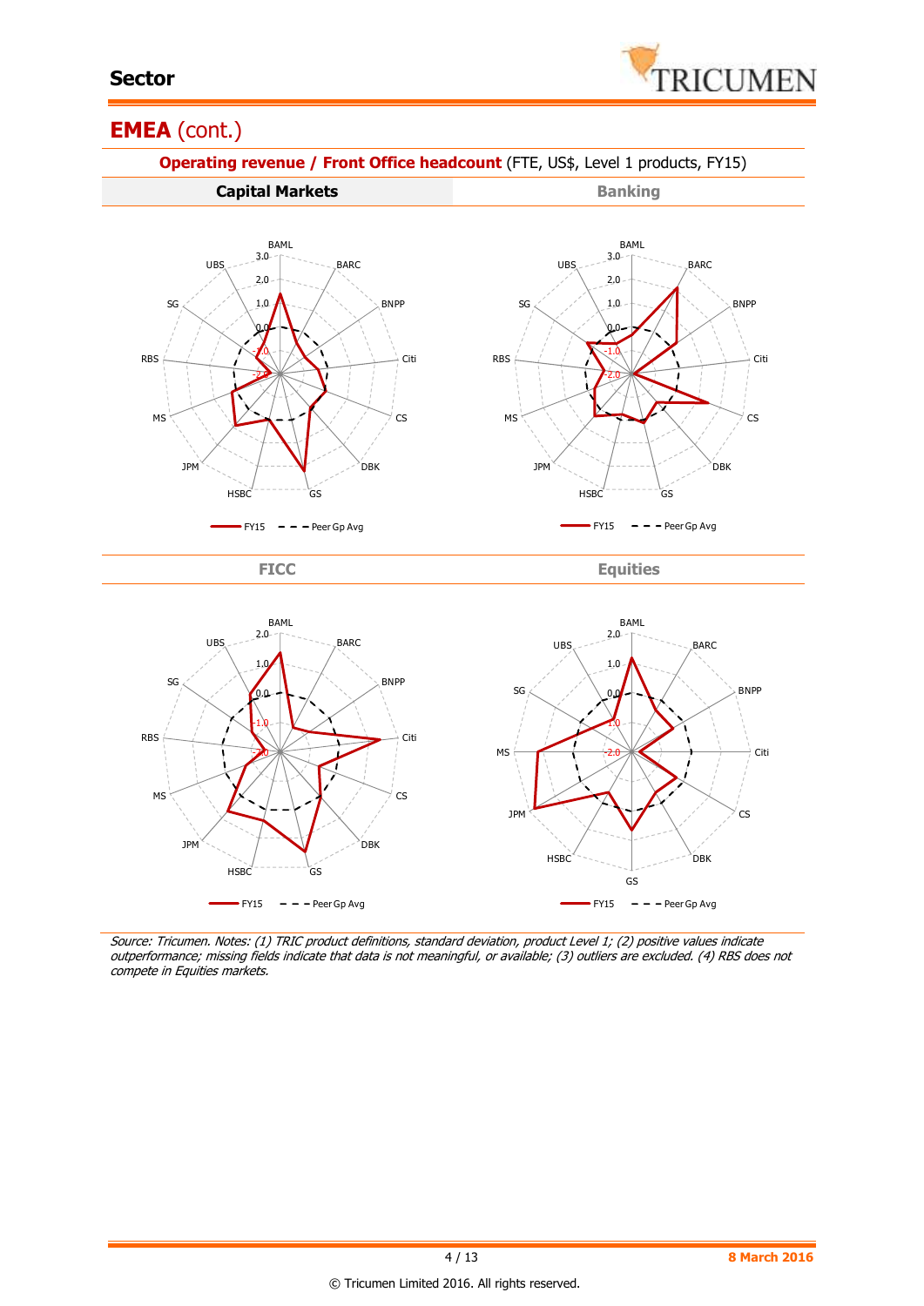

#### **EMEA** (cont.)



Source: Tricumen. Notes: (1) TRIC product definitions, standard deviation, product Level 1; (2) positive values indicate outperformance; missing fields indicate that data is not meaningful, or available; (3) outliers are excluded. (4) RBS does not compete in Equities markets.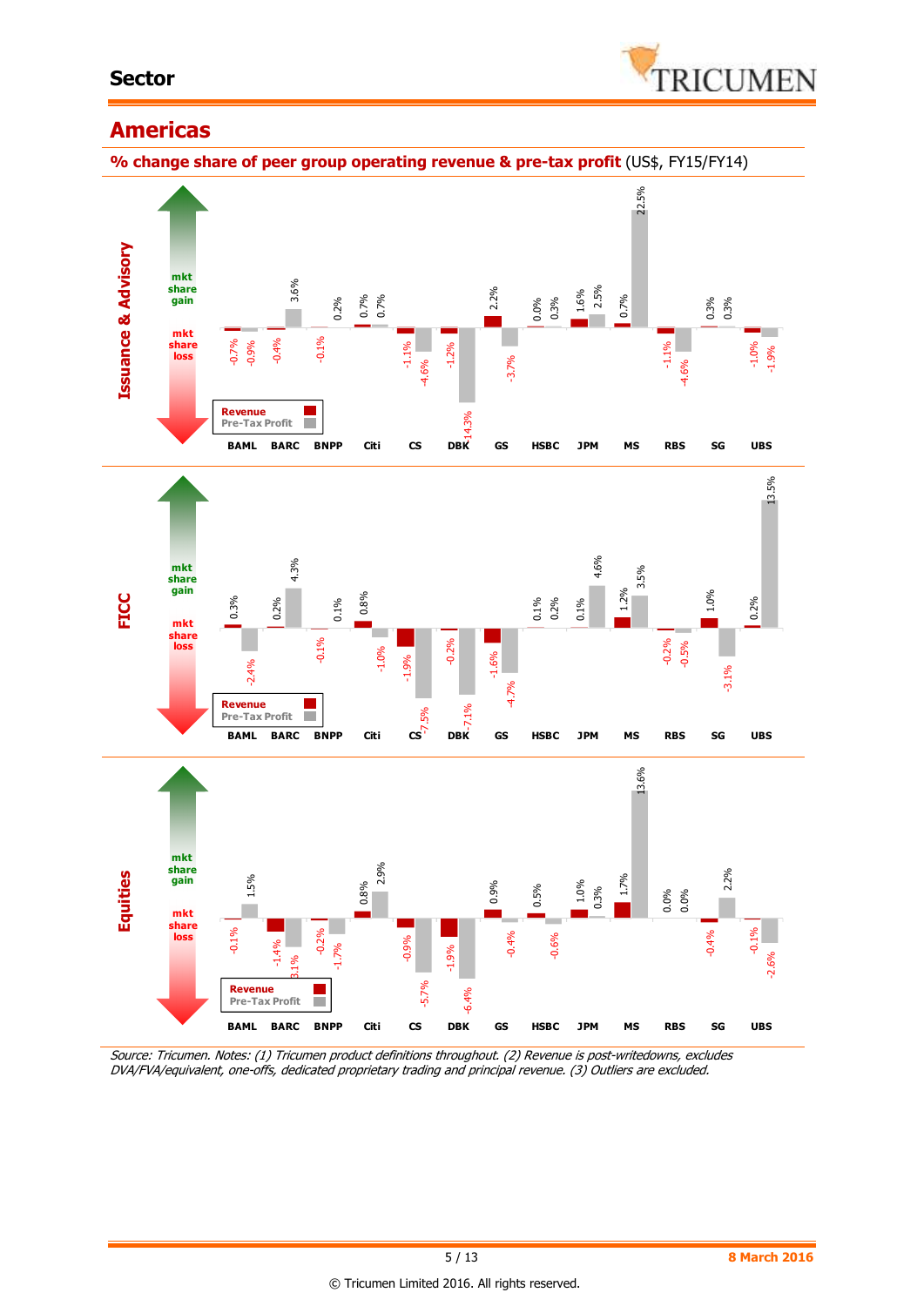#### **Sector**



#### **Americas**



Source: Tricumen. Notes: (1) Tricumen product definitions throughout. (2) Revenue is post-writedowns, excludes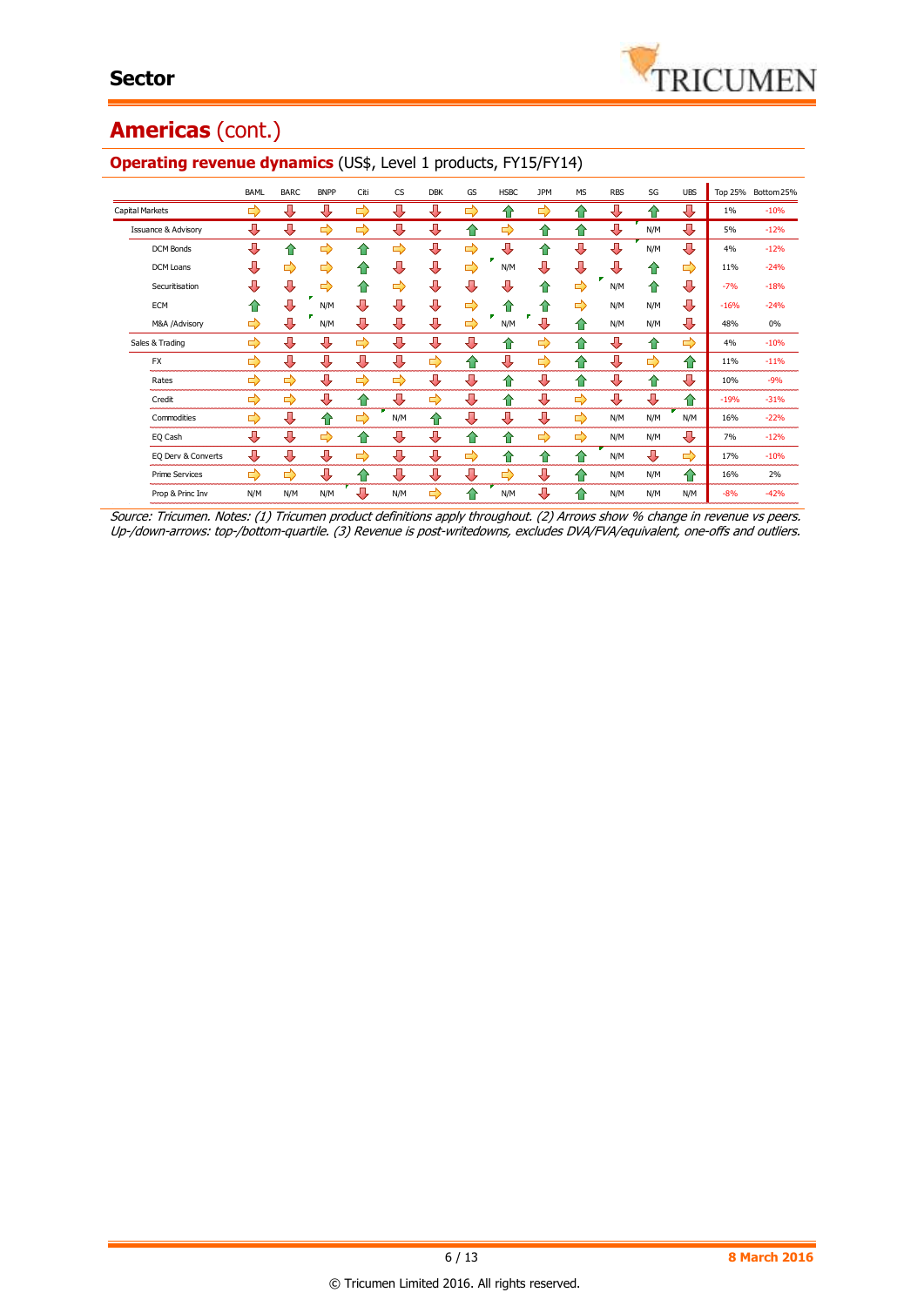## **Americas** (cont.)

|                                | BAML          | <b>BARC</b> | <b>BNPP</b> | Citi | <b>CS</b> | <b>DBK</b> | GS            | <b>HSBC</b> | <b>JPM</b> | <b>MS</b>     | <b>RBS</b> | SG            | <b>UBS</b> |        | Top 25% Bottom 25% |
|--------------------------------|---------------|-------------|-------------|------|-----------|------------|---------------|-------------|------------|---------------|------------|---------------|------------|--------|--------------------|
| Capital Markets                | $\Rightarrow$ | ⊕           | ⊕           | ⇨    | ⊕         | ⊕          | ⇨             | 10          | ⇨          | ⇑             | л          | ♠             | ⊕          | $1\%$  | $-10%$             |
| <b>Issuance &amp; Advisory</b> | ⇩             | ⊕           | ⇨           | ⇨    | ⊕         | ⊕          | ⇑             | ⇨           | ⇑          | 企             | ⊕          | N/M           | ⊕          | 5%     | $-12%$             |
| <b>DCM Bonds</b>               | ⊕             | ⇑           | ⇨           | ⇑    | ⇨         | ⊕          | $\Rightarrow$ | 具           | 合          | ⊕             | ⊕          | N/M           | ⊕          | 4%     | $-12%$             |
| <b>DCM Loans</b>               | л             | ⇨           | ⇨           | ⇑    | л         | л          | ⇨             | N/M         | ⇩          | ⊕             | ⊕          | ⇑             | ⇨          | 11%    | $-24%$             |
| Securitisation                 | л             | ⊕           | ⇨           | ⇑    | ⇨         | ⊕          | л             | 几           | ⇑          | ⇨             | N/M        | ⇑             | ⊕          | $-7%$  | $-18%$             |
| ECM                            | ⇑             | ⊕           | N/M         | л    | Д         | ⊕          | ⇨             | 10          | ⇑          | ⇨             | N/M        | N/M           | ⊕          | $-16%$ | $-24%$             |
| M&A /Advisory                  | ⇨             | ⊕           | N/M         | л    | л         | ⊕          | $\Rightarrow$ | N/M         |            | ⇑             | N/M        | N/M           | ⊕          | 48%    | 0%                 |
| Sales & Trading                | ⇨             | ⇩           | ⊕           | ⇨    | ⊕         | J          | ⇩             | 10          | ⇨          | ⇑             | ⊕          | ⇑             | ⇨          | 4%     | $-10%$             |
| <b>FX</b>                      | ⇨             | ⊕           | ⊕           | ⊕    | ⊕         | ⇨          | ♠             | ⇩           | ⇨          | 企             | ⊕          | $\Rightarrow$ | 企          | 11%    | $-11%$             |
| Rates                          | ⇨             | ⇨           | ⊕           | ⇨    | ⇨         | ⊕          | ⊕             | ⇑           | ⊕          | $\hat{v}$     | ⊕          | ⇑             | ⊕          | 10%    | $-9%$              |
| Credit                         | ⇨             | ⇨           | ⊕           | ⇑    | ⊕         | ⇨          | ⊕             | ⇑           | ⊕          | ⇨             | ⊕          | ⊕             | ⇧          | $-19%$ | $-31%$             |
| Commodities                    | ⇨             | ⇩           | 仐           | ⇨    | N/M       | ⇑          | ⊕             | ⊕           | Д          | $\Rightarrow$ | N/M        | N/M           | N/M        | 16%    | $-22%$             |
| EQ Cash                        | л             | ⇩           | ⇨           | ⇑    | ⊕         | ⊕          | ♠             | 企           | ⇨          | $\Rightarrow$ | N/M        | N/M           | ⊕          | 7%     | $-12%$             |
| EQ Derv & Converts             | ⊕             | ⊕           | ⊕           | ⇨    | ⊕         | ⊕          | ⇨             | 10          | ⇑          | $\bigcirc$    | N/M        | ⊕             | ⇨          | 17%    | $-10%$             |
| <b>Prime Services</b>          | ⇨             | ⇨           | ⊕           | ⇑    | ⊕         | ⊕          | ⊕             | ⇨           | ⊕          | ⇑             | N/M        | N/M           | 企          | 16%    | 2%                 |
| Prop & Princ Inv               | N/M           | N/M         | N/M         | Д    | N/M       | ⇨          | ⇑             | N/M         | л          | ♠             | N/M        | N/M           | N/M        | $-8%$  | $-42%$             |

#### **Operating revenue dynamics** (US\$, Level 1 products, FY15/FY14)

Source: Tricumen. Notes: (1) Tricumen product definitions apply throughout. (2) Arrows show % change in revenue vs peers. Up-/down-arrows: top-/bottom-quartile. (3) Revenue is post-writedowns, excludes DVA/FVA/equivalent, one-offs and outliers.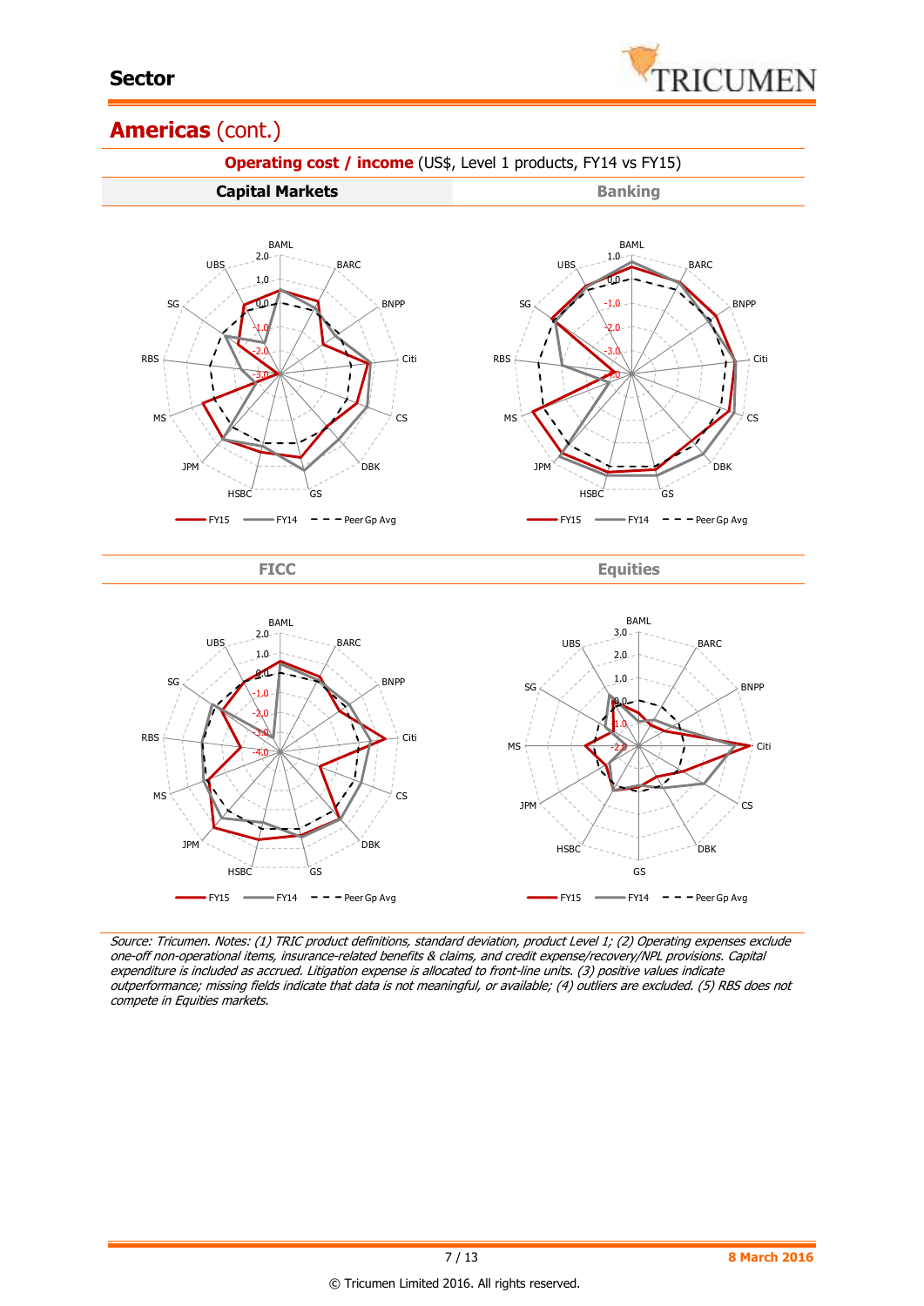

#### **Americas** (cont.)



Source: Tricumen. Notes: (1) TRIC product definitions, standard deviation, product Level 1; (2) Operating expenses exclude one-off non-operational items, insurance-related benefits & claims, and credit expense/recovery/NPL provisions. Capital expenditure is included as accrued. Litigation expense is allocated to front-line units. (3) positive values indicate outperformance; missing fields indicate that data is not meaningful, or available; (4) outliers are excluded. (5) RBS does not compete in Equities markets.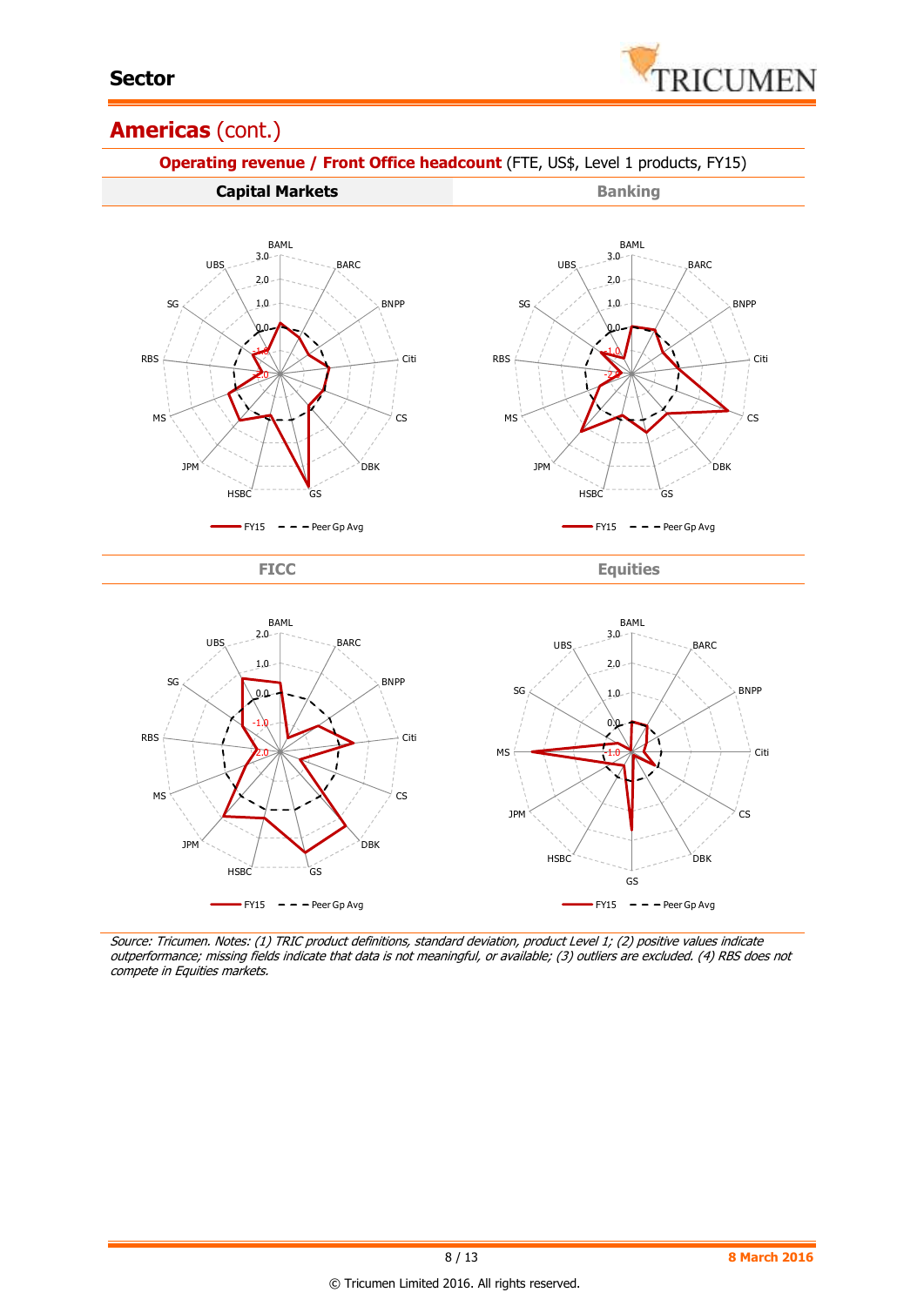

#### **Americas** (cont.)



Source: Tricumen. Notes: (1) TRIC product definitions, standard deviation, product Level 1; (2) positive values indicate outperformance; missing fields indicate that data is not meaningful, or available; (3) outliers are excluded. (4) RBS does not compete in Equities markets.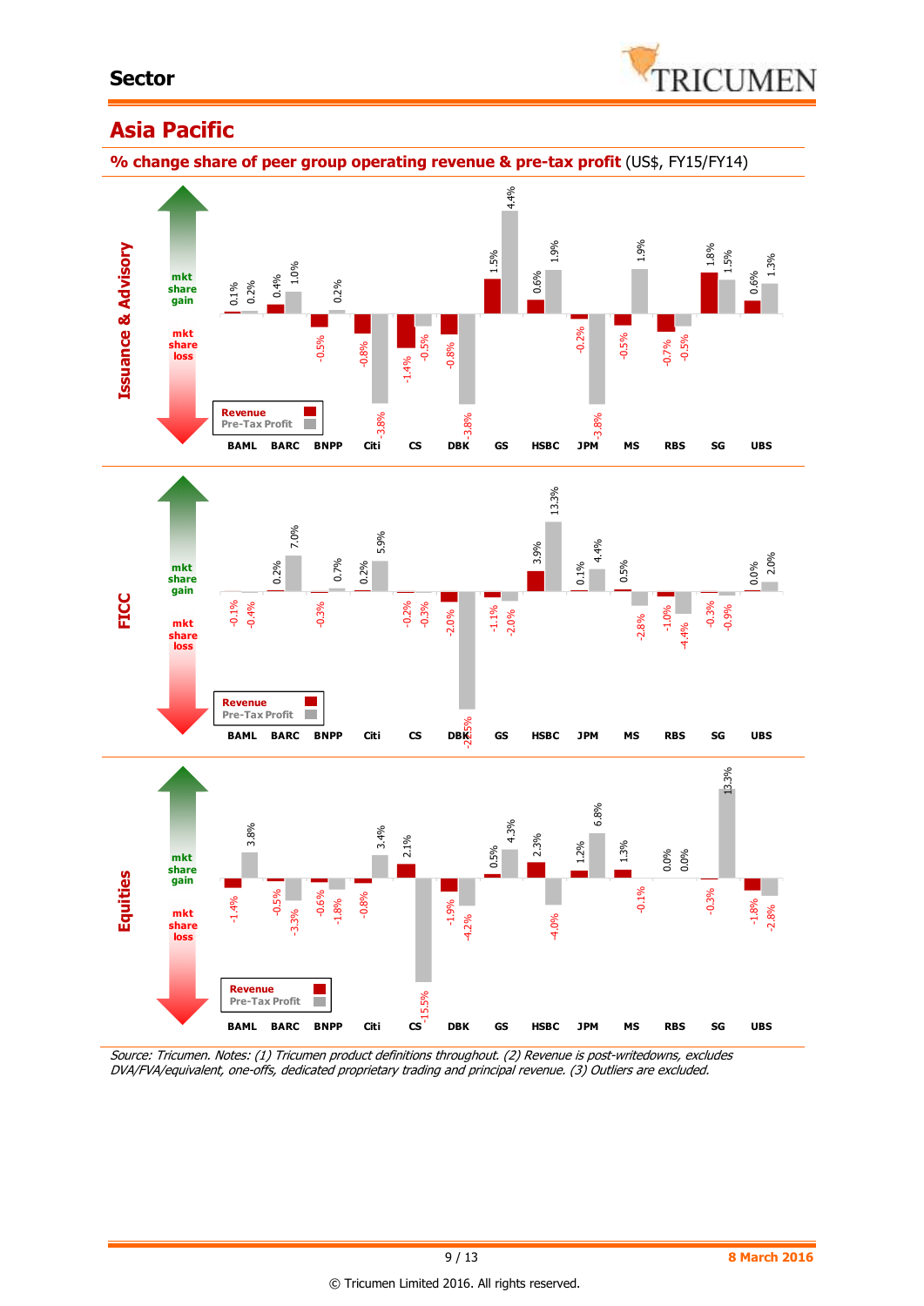

### **Asia Pacific**

**% change share of peer group operating revenue & pre-tax profit** (US\$, FY15/FY14)



Source: Tricumen. Notes: (1) Tricumen product definitions throughout. (2) Revenue is post-writedowns, excludes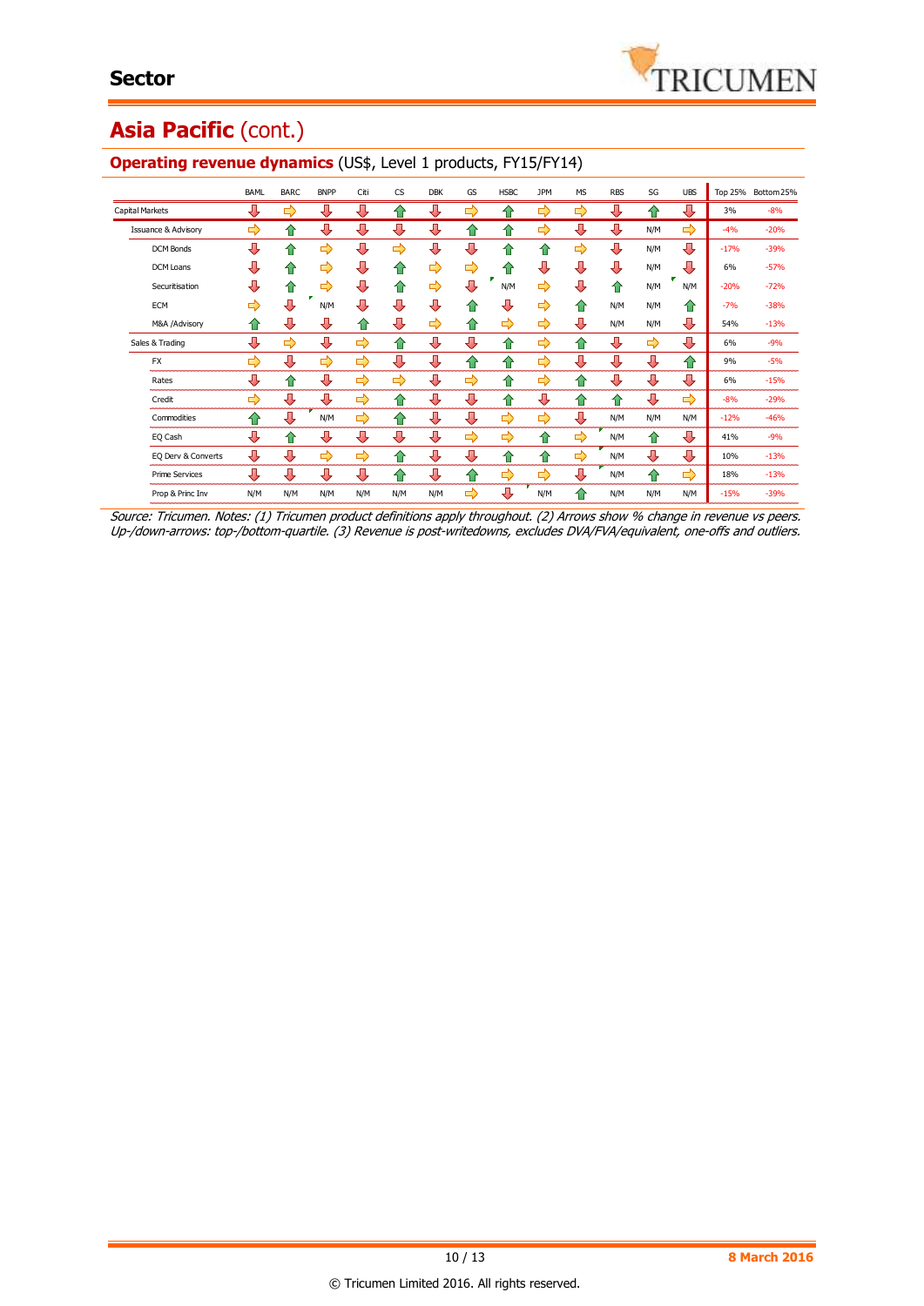# Asia Pacific (cont.)

|                                | <b>BAML</b> | <b>BARC</b> | <b>BNPP</b> | Citi | <b>CS</b> | <b>DBK</b> | GS | <b>HSBC</b> | <b>JPM</b> | <b>MS</b>  | <b>RBS</b> | SG  | <b>UBS</b> |        | Top 25% Bottom 25% |
|--------------------------------|-------------|-------------|-------------|------|-----------|------------|----|-------------|------------|------------|------------|-----|------------|--------|--------------------|
| Capital Markets                | ⊕           | ⇨           | ⊕           | ⊕    | ⇑         | л          | ⇨  | ⇑           | ⇨          | ⇨          | ⊕          | ⇑   | ⊕          | 3%     | $-8%$              |
| <b>Issuance &amp; Advisory</b> | ⇨           | ⇑           | ⊕           | ⊕    | ⊕         | ⊕          | ⇑  | ⇑           | ⇨          | ⊕          | ⊕          | N/M | ⇨          | $-4%$  | $-20%$             |
| <b>DCM Bonds</b>               | ⊕           | ⇑           | ⇨           | ⇩    | ⇨         | ⊕          | ⊕  | ⇑           | ⇑          | ⇨          | ⊕          | N/M | ⊕          | $-17%$ | $-39%$             |
| <b>DCM Loans</b>               | ⊕           | ⇑           | ⇨           | ⊕    | ⇑         | ⇨          | ⇨  | ⇑           | ⊕          | ⊕          | ⊕          | N/M | ⊕          | 6%     | $-57%$             |
| Securitisation                 | л           | ⇧           | ⇨           | ⊕    | ⇑         | ⇨          | ⊕  | N/M         | ⇨          | ⊕          | ⇑          | N/M | N/M        | $-20%$ | $-72%$             |
| <b>ECM</b>                     | ⇨           | л           | N/M         | Л    | л         | л          | ⇑  | л           | ⇨          | ⇑          | N/M        | N/M | ⇑          | $-7%$  | $-38%$             |
| M&A /Advisory                  | ⇑           | ⊕           | ⊕           | 仆    | ⊕         | ⇨          | ⇑  | ⇨           | ⇨          | ⊕          | N/M        | N/M | ⊕          | 54%    | $-13%$             |
| Sales & Trading                | ⊕           | ⇨           | ⊕           | ⇨    | ⇑         | ⊕          | ⇩  | ⇑           | ⇨          | ⇑          | ⊕          | ⇨   | ⇩          | 6%     | $-9%$              |
| <b>FX</b>                      | ⇨           | ⇩           | ⇨           | ⇨    | ⊕         | ⊕          | 企  | ⇑           | ⇨          | ⊕          | ⊕          | ⊕   | 企          | 9%     | $-5%$              |
| Rates                          | ⊕           | ⇑           | ⊕           | ⇨    | ⇨         | ⊕          | ⇨  | ⇑           | ⇨          | ⇧          | ⊕          | ⊕   | ⊕          | 6%     | $-15%$             |
| Credit                         | ⇨           | ⊕           | л           | ⇨    | ⇑         | л          | ⊕  | ⇑           | л          | $\bigcirc$ | ⇑          | ⊕   | ⇨          | $-8%$  | $-29%$             |
| Commodities                    | ⇑           | л           | N/M         | ⇨    | 合         | Д          | ⊕  | ⇨           | ⇨          | ⇩          | N/M        | N/M | N/M        | $-12%$ | $-46%$             |
| EQ Cash                        | ⊕           | 슙           | ⊕           | ⊕    | л         | ⊕          | ⇨  | ⇨           | 슙          | ⇨          | N/M        | 슙   | ⊕          | 41%    | $-9%$              |
| EQ Derv & Converts             | ⊕           | л           | ⇨           | ⇨    | ⇑         | ⊕          | ⊕  | ⇑           | ⇑          | ⇨          | N/M        | ⊕   | ⊕          | 10%    | $-13%$             |
| <b>Prime Services</b>          | ⊕           | 具           | л           | ⊕    | ങ         | ⊕          | 企  | ⇨           | ⇨          | ⇩          | N/M        | 仐   | ⇨          | 18%    | $-13%$             |
| Prop & Princ Inv               | N/M         | N/M         | N/M         | N/M  | N/M       | N/M        | ⇨  | л           | N/M        | ♠          | N/M        | N/M | N/M        | $-15%$ | $-39%$             |

#### **Operating revenue dynamics** (US\$, Level 1 products, FY15/FY14)

Source: Tricumen. Notes: (1) Tricumen product definitions apply throughout. (2) Arrows show % change in revenue vs peers. Up-/down-arrows: top-/bottom-quartile. (3) Revenue is post-writedowns, excludes DVA/FVA/equivalent, one-offs and outliers.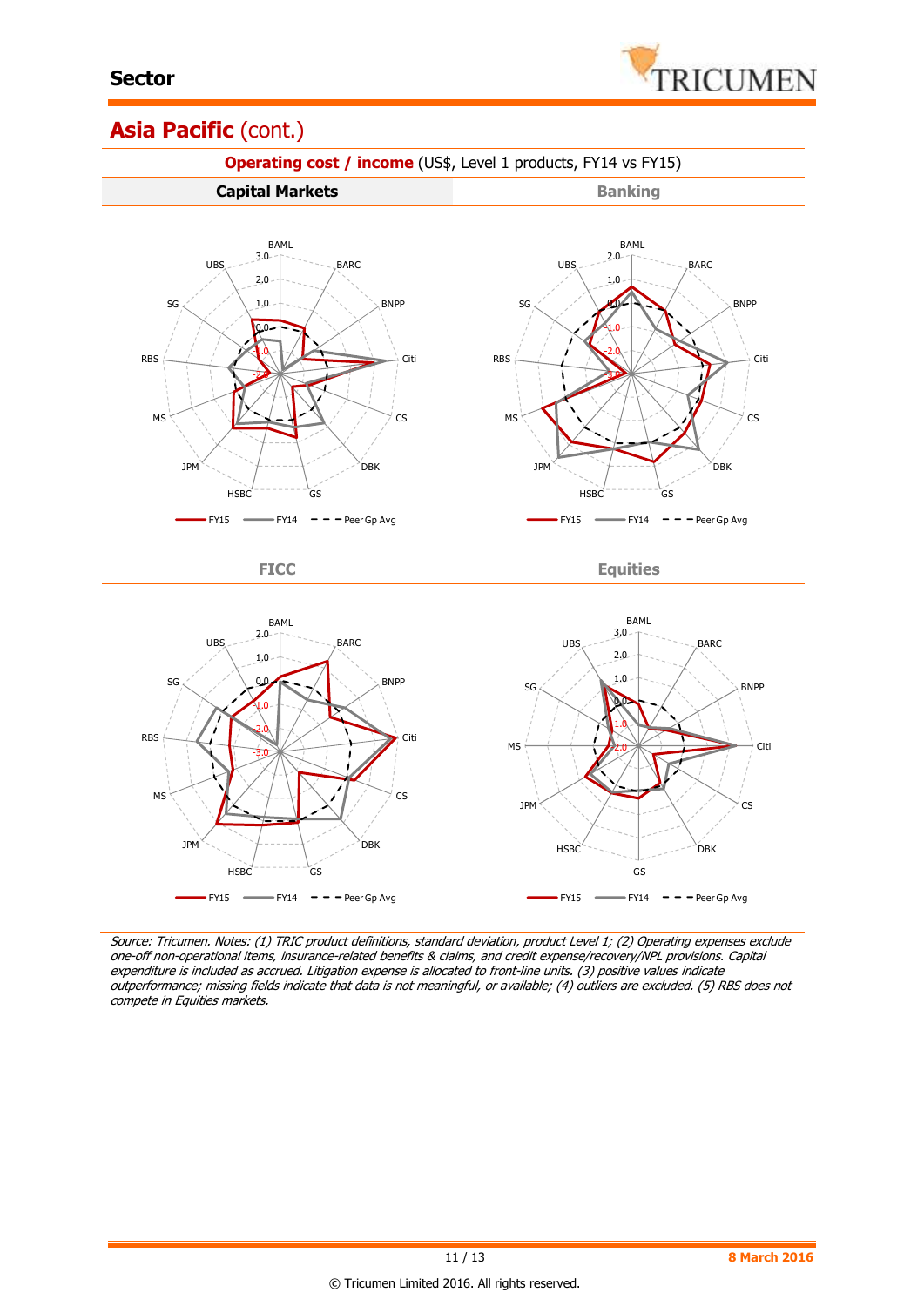

### Asia Pacific (cont.)



Source: Tricumen. Notes: (1) TRIC product definitions, standard deviation, product Level 1; (2) Operating expenses exclude one-off non-operational items, insurance-related benefits & claims, and credit expense/recovery/NPL provisions. Capital expenditure is included as accrued. Litigation expense is allocated to front-line units. (3) positive values indicate outperformance; missing fields indicate that data is not meaningful, or available; (4) outliers are excluded. (5) RBS does not compete in Equities markets.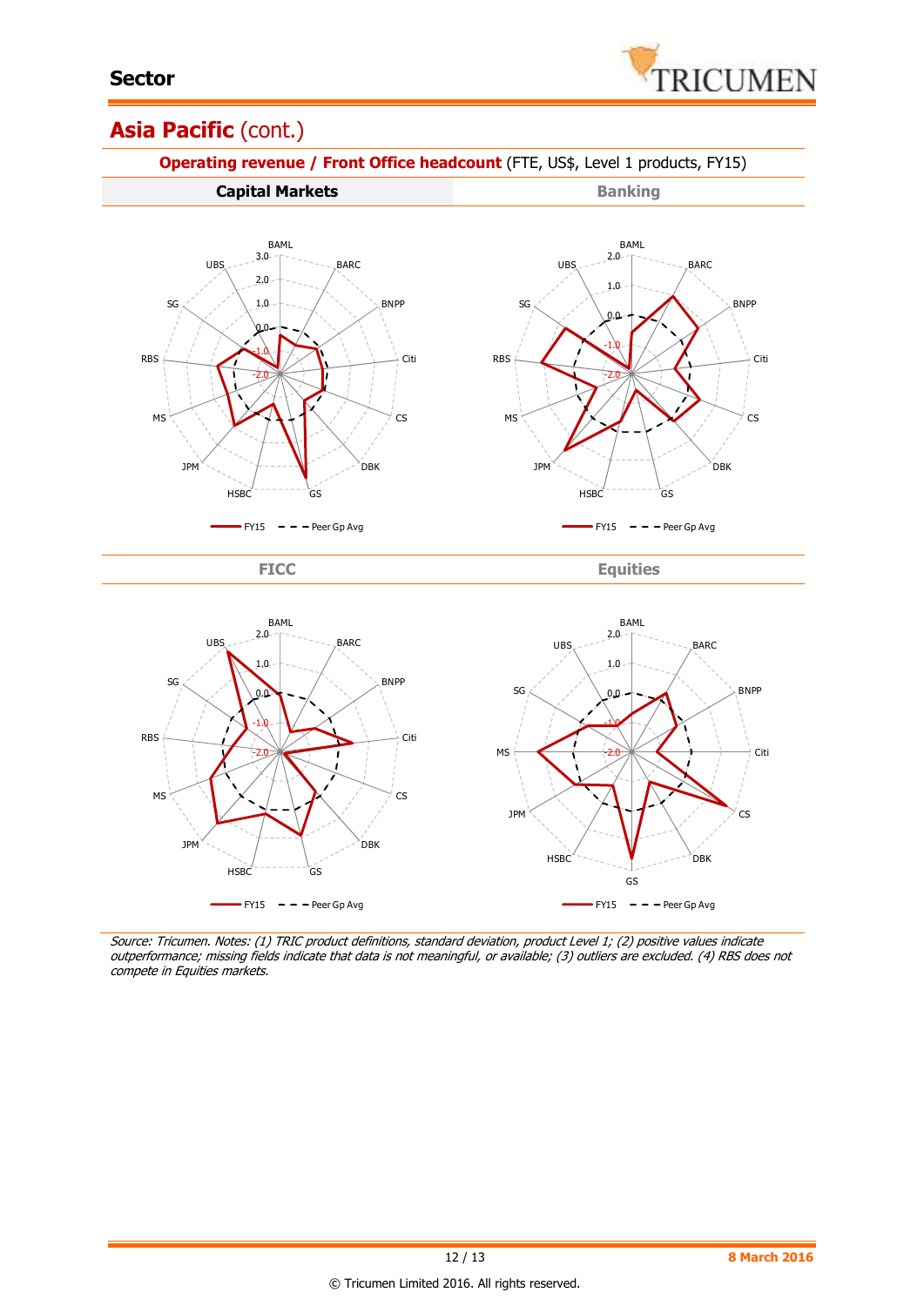

### Asia Pacific (cont.)



Source: Tricumen. Notes: (1) TRIC product definitions, standard deviation, product Level 1; (2) positive values indicate outperformance; missing fields indicate that data is not meaningful, or available; (3) outliers are excluded. (4) RBS does not compete in Equities markets.